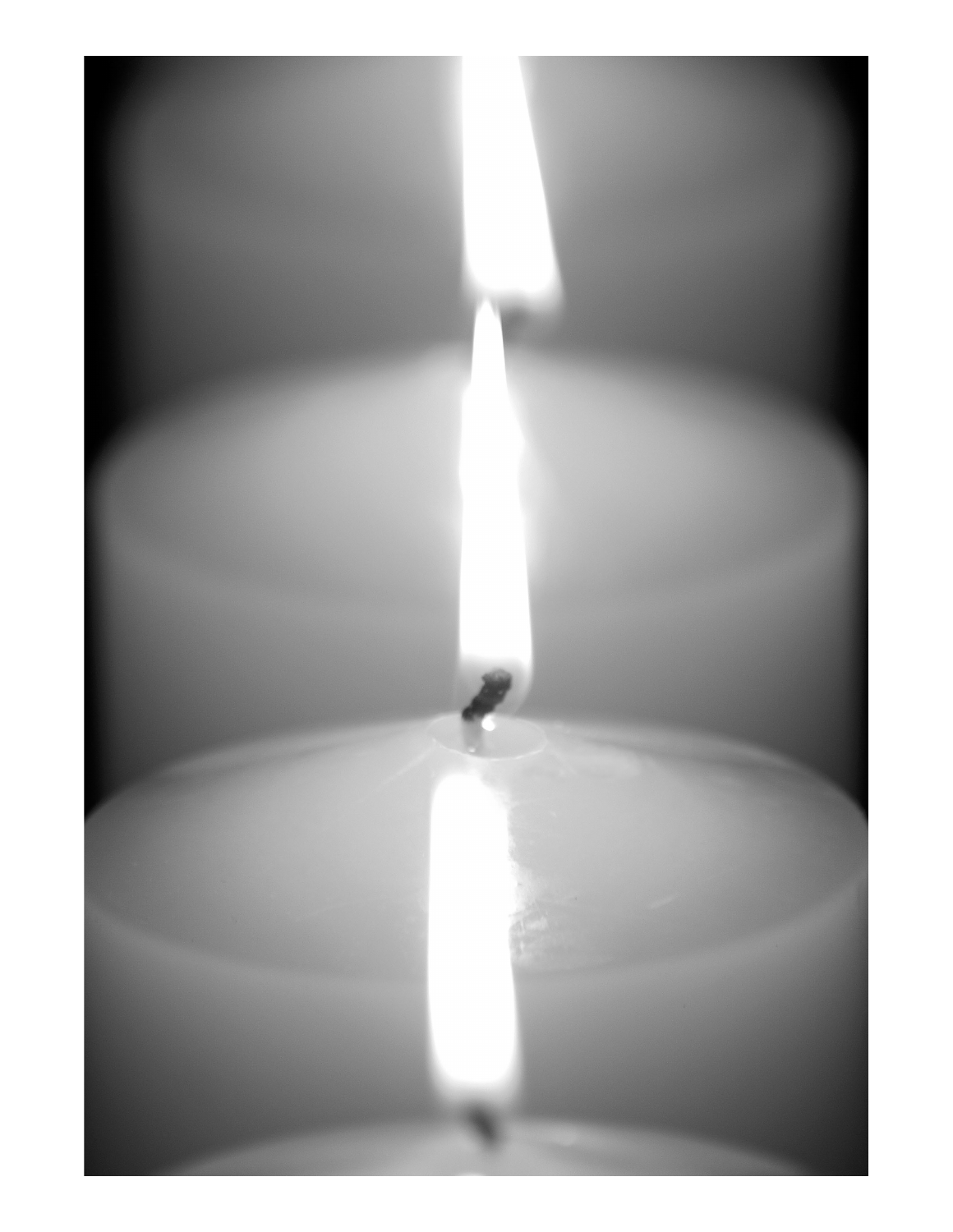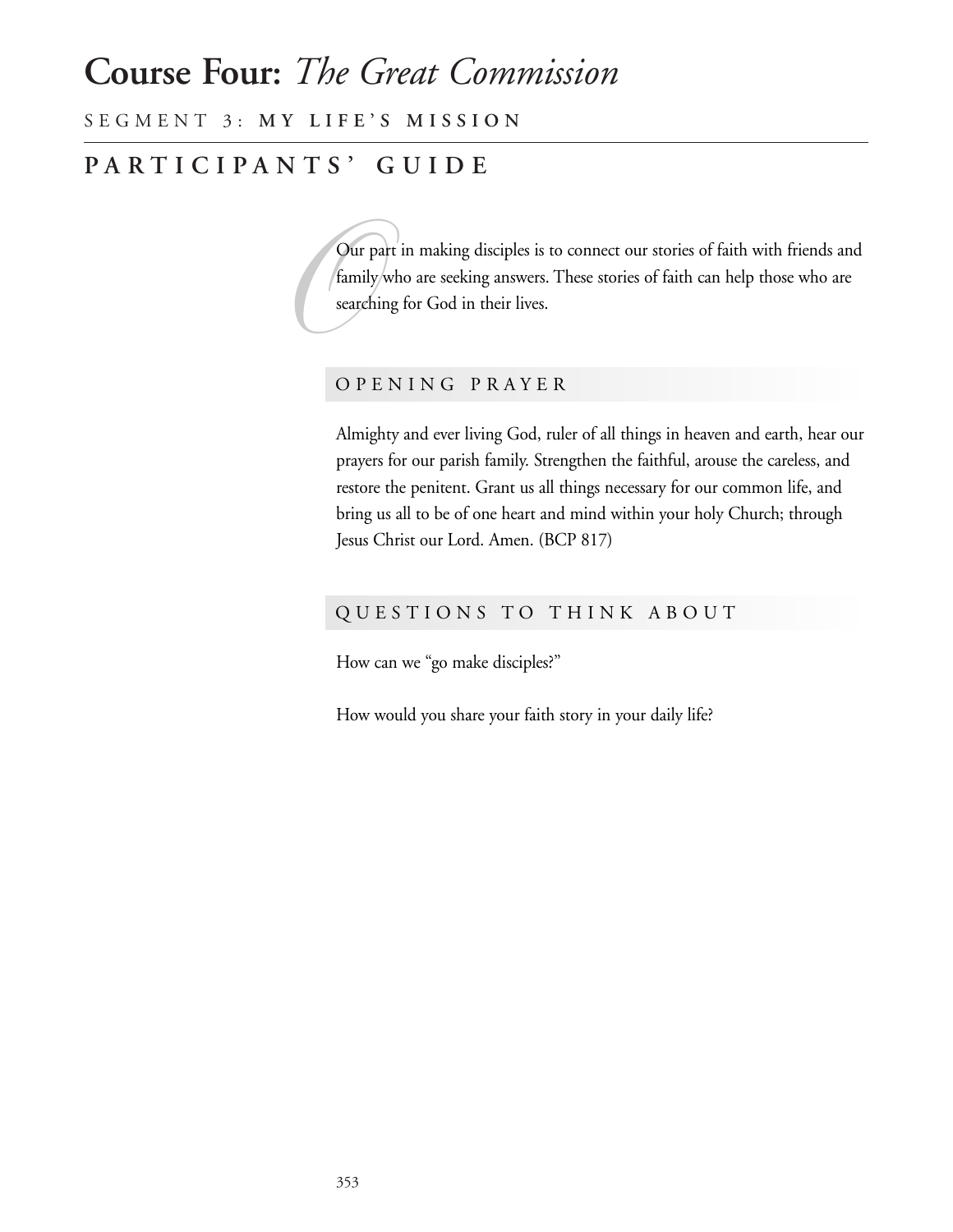# **Course Four:** *The Great Commission*

SEGMENT 3: **MY LIFE'S MISSION**

## **P A R TICIPANTS' GUIDE**

*O* Our part in making disciples is to connect our stories of faith with friends and family who are seeking answers. These stories of faith can help those who are searching for God in their lives.

#### OPENING PRAYER

Almighty and ever living God, ruler of all things in heaven and earth, hear our prayers for our parish family. Strengthen the faithful, arouse the careless, and restore the penitent. Grant us all things necessary for our common life, and bring us all to be of one heart and mind within your holy Church; through Jesus Christ our Lord. Amen. (BCP 817)

### Q UESTIONS TO THINK ABOUT

How can we "go make disciples?"

How would you share your faith story in your daily life?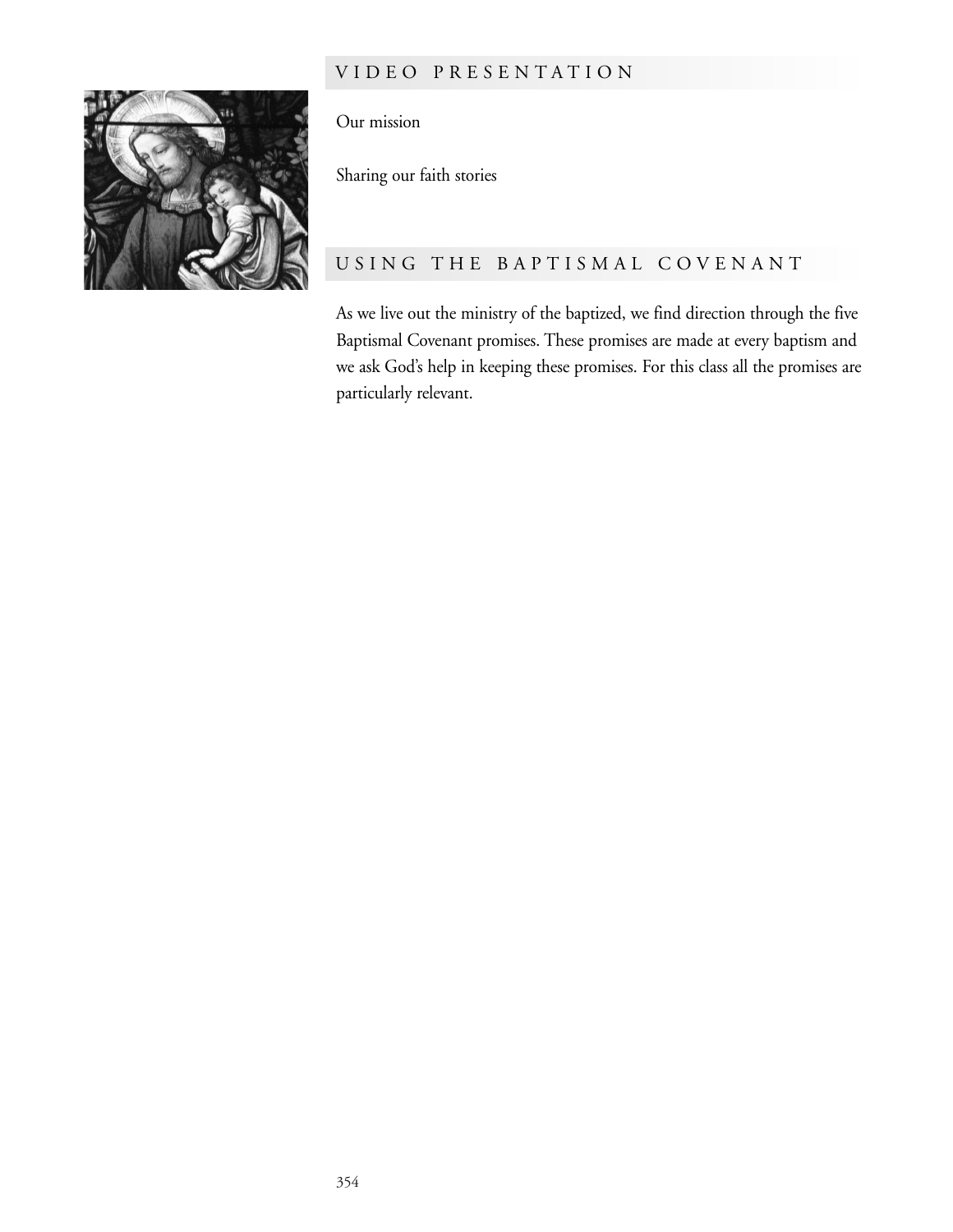#### VIDEO PRESENTATION



Our mission

Sharing our faith stories

## USING THE BAPTISMAL COVENANT

As we live out the ministry of the baptized, we find direction through the five Baptismal Covenant promises. These promises are made at every baptism and we ask God's help in keeping these promises. For this class all the promises are particularly relevant.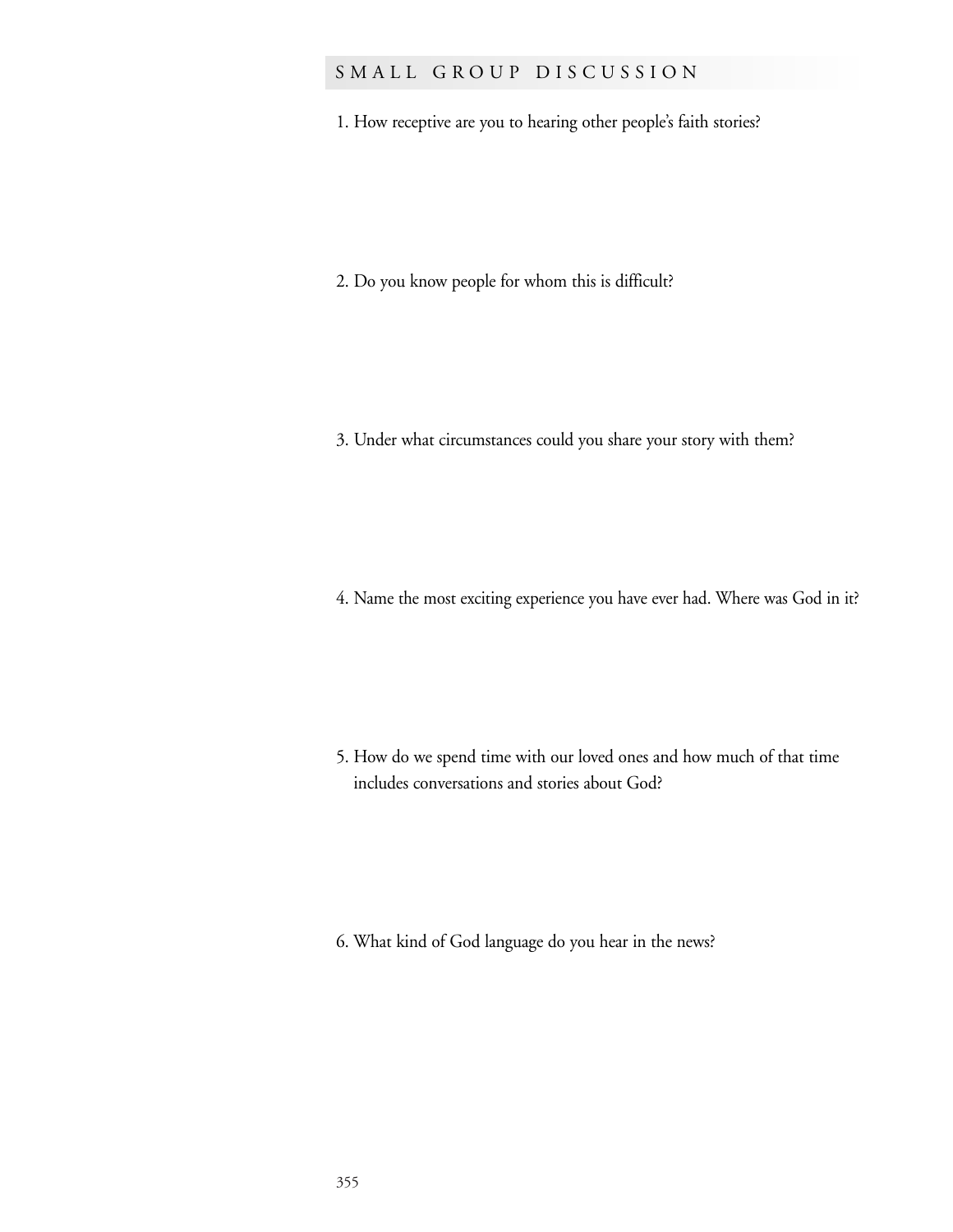#### SMALL GROUP DISCUSSION

1. How receptive are you to hearing other people's faith stories?

2. Do you know people for whom this is difficult?

3. Under what circumstances could you share your story with them?

4. Name the most exciting experience you have ever had. Where was God in it?

5. How do we spend time with our loved ones and how much of that time includes conversations and stories about God?

6. What kind of God language do you hear in the news?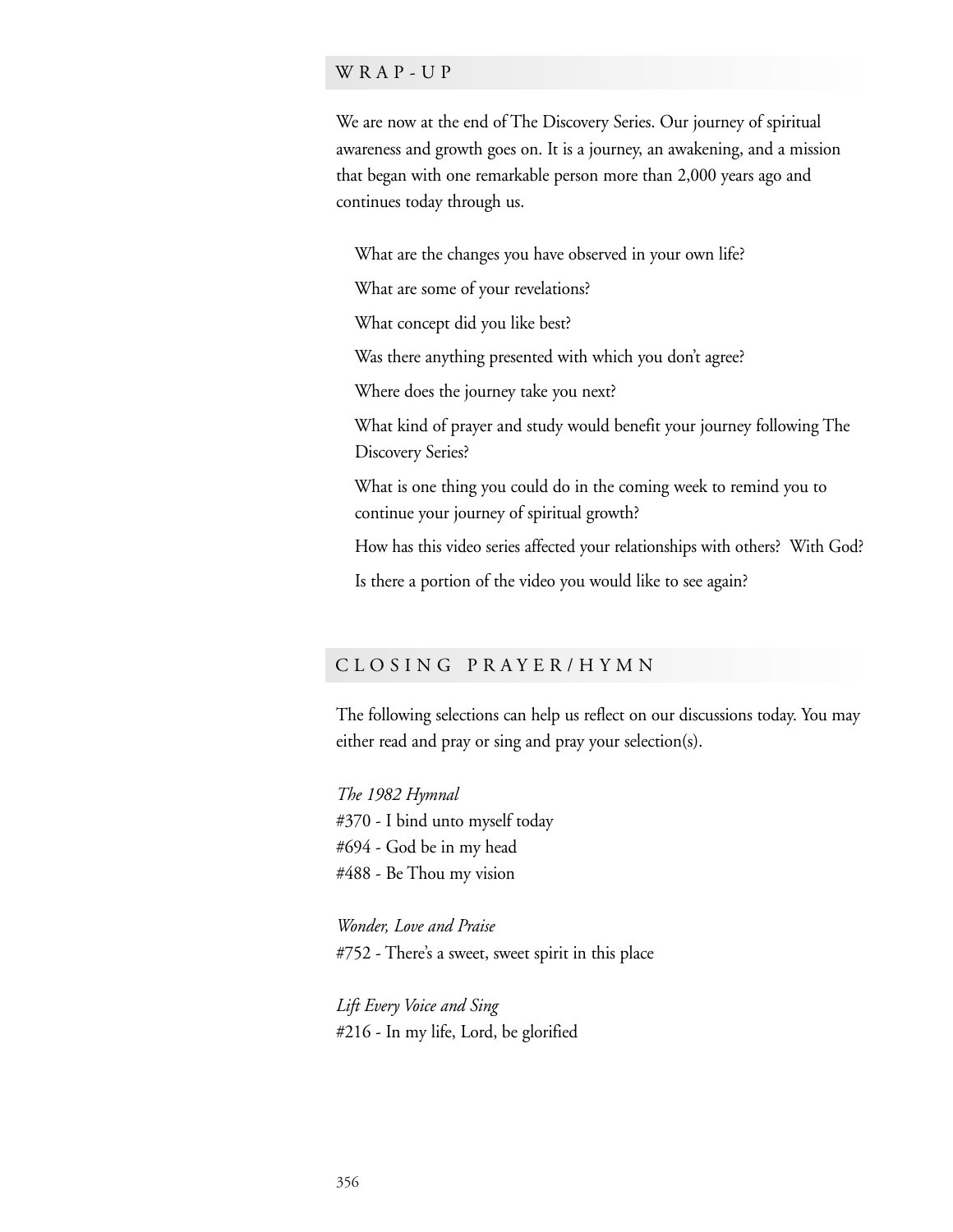#### WRAP-UP

We are now at the end of The Discovery Series. Our journey of spiritual awareness and growth goes on. It is a journey, an awakening, and a mission that began with one remarkable person more than 2,000 years ago and continues today through us.

What are the changes you have observed in your own life?

What are some of your revelations?

What concept did you like best?

Was there anything presented with which you don't agree?

Where does the journey take you next?

What kind of prayer and study would benefit your journey following The Discovery Series?

What is one thing you could do in the coming week to remind you to continue your journey of spiritual growth?

How has this video series affected your relationships with others? With God?

Is there a portion of the video you would like to see again?

#### CLOSING PRAYER/HYMN

The following selections can help us reflect on our discussions today. You may either read and pray or sing and pray your selection(s).

*The 1982 Hymnal*  #370 - I bind unto myself today #694 - God be in my head #488 - Be Thou my vision

*Wonder, Love and Praise* #752 - There's a sweet, sweet spirit in this place

*Lift Every Voice and Sing* #216 - In my life, Lord, be glorified